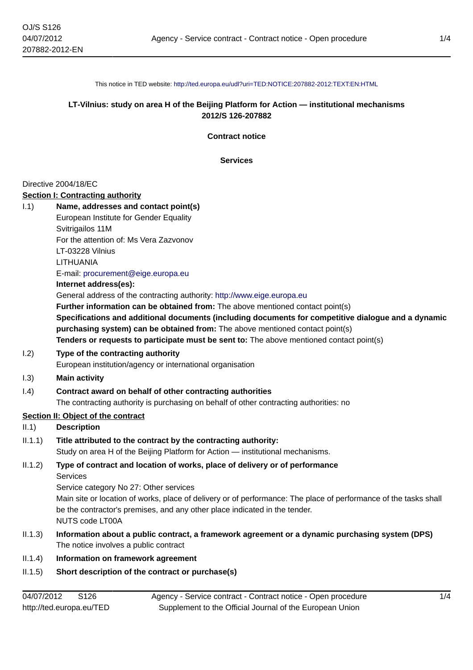This notice in TED website: <http://ted.europa.eu/udl?uri=TED:NOTICE:207882-2012:TEXT:EN:HTML>

# **LT-Vilnius: study on area H of the Beijing Platform for Action — institutional mechanisms 2012/S 126-207882**

**Contract notice**

**Services**

#### Directive 2004/18/EC

#### **Section I: Contracting authority**

| 1.1)       | Name, addresses and contact point(s)                                                                                                                                                                                                                                             |
|------------|----------------------------------------------------------------------------------------------------------------------------------------------------------------------------------------------------------------------------------------------------------------------------------|
|            | European Institute for Gender Equality                                                                                                                                                                                                                                           |
|            | Svitrigailos 11M                                                                                                                                                                                                                                                                 |
|            | For the attention of: Ms Vera Zazvonov                                                                                                                                                                                                                                           |
|            | LT-03228 Vilnius                                                                                                                                                                                                                                                                 |
|            | LITHUANIA                                                                                                                                                                                                                                                                        |
|            | E-mail: procurement@eige.europa.eu                                                                                                                                                                                                                                               |
|            | Internet address(es):                                                                                                                                                                                                                                                            |
|            | General address of the contracting authority: http://www.eige.europa.eu                                                                                                                                                                                                          |
|            | Further information can be obtained from: The above mentioned contact point(s)                                                                                                                                                                                                   |
|            | Specifications and additional documents (including documents for competitive dialogue and a dynamic<br>purchasing system) can be obtained from: The above mentioned contact point(s)<br>Tenders or requests to participate must be sent to: The above mentioned contact point(s) |
| 1.2)       | Type of the contracting authority                                                                                                                                                                                                                                                |
|            | European institution/agency or international organisation                                                                                                                                                                                                                        |
| 1.3)       | <b>Main activity</b>                                                                                                                                                                                                                                                             |
| 1.4)       | Contract award on behalf of other contracting authorities                                                                                                                                                                                                                        |
|            | The contracting authority is purchasing on behalf of other contracting authorities: no                                                                                                                                                                                           |
|            | Section II: Object of the contract                                                                                                                                                                                                                                               |
| II.1)      | <b>Description</b>                                                                                                                                                                                                                                                               |
| II.1.1)    | Title attributed to the contract by the contracting authority:                                                                                                                                                                                                                   |
|            | Study on area H of the Beijing Platform for Action - institutional mechanisms.                                                                                                                                                                                                   |
| II.1.2)    | Type of contract and location of works, place of delivery or of performance<br><b>Services</b>                                                                                                                                                                                   |
|            | Service category No 27: Other services                                                                                                                                                                                                                                           |
|            | Main site or location of works, place of delivery or of performance: The place of performance of the tasks shall                                                                                                                                                                 |
|            | be the contractor's premises, and any other place indicated in the tender.<br><b>NUTS code LT00A</b>                                                                                                                                                                             |
| II.1.3)    | Information about a public contract, a framework agreement or a dynamic purchasing system (DPS)<br>The notice involves a public contract                                                                                                                                         |
| II.1.4)    | Information on framework agreement                                                                                                                                                                                                                                               |
| II.1.5)    | Short description of the contract or purchase(s)                                                                                                                                                                                                                                 |
|            |                                                                                                                                                                                                                                                                                  |
| 04/07/2012 | S126<br>1/4<br>Agency - Service contract - Contract notice - Open procedure                                                                                                                                                                                                      |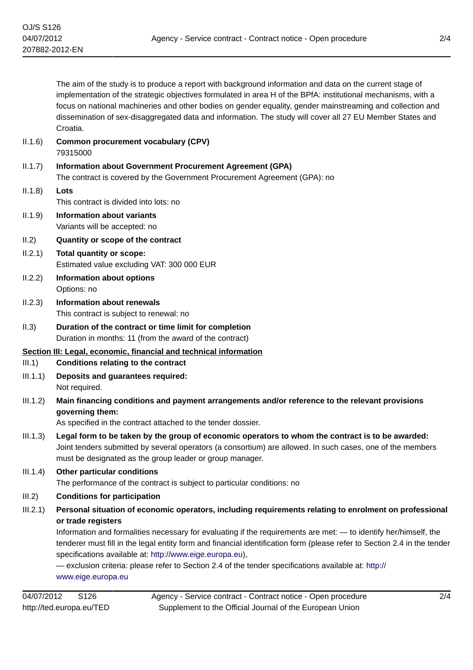The aim of the study is to produce a report with background information and data on the current stage of implementation of the strategic objectives formulated in area H of the BPfA: institutional mechanisms, with a focus on national machineries and other bodies on gender equality, gender mainstreaming and collection and dissemination of sex-disaggregated data and information. The study will cover all 27 EU Member States and Croatia. II.1.6) **Common procurement vocabulary (CPV)** 79315000 II.1.7) **Information about Government Procurement Agreement (GPA)** The contract is covered by the Government Procurement Agreement (GPA): no II.1.8) **Lots** This contract is divided into lots: no II.1.9) **Information about variants** Variants will be accepted: no II.2) **Quantity or scope of the contract** II.2.1) **Total quantity or scope:** Estimated value excluding VAT: 300 000 EUR II.2.2) **Information about options** Options: no II.2.3) **Information about renewals** This contract is subject to renewal: no II.3) **Duration of the contract or time limit for completion** Duration in months: 11 (from the award of the contract) **Section III: Legal, economic, financial and technical information** III.1) **Conditions relating to the contract** III.1.1) **Deposits and guarantees required:** Not required. III.1.2) **Main financing conditions and payment arrangements and/or reference to the relevant provisions governing them:** As specified in the contract attached to the tender dossier. III.1.3) **Legal form to be taken by the group of economic operators to whom the contract is to be awarded:** Joint tenders submitted by several operators (a consortium) are allowed. In such cases, one of the members must be designated as the group leader or group manager. III.1.4) **Other particular conditions** The performance of the contract is subject to particular conditions: no III.2) **Conditions for participation** III.2.1) **Personal situation of economic operators, including requirements relating to enrolment on professional or trade registers** Information and formalities necessary for evaluating if the requirements are met: — to identify her/himself, the tenderer must fill in the legal entity form and financial identification form (please refer to Section 2.4 in the tender specifications available at: <http://www.eige.europa.eu>), — exclusion criteria: please refer to Section 2.4 of the tender specifications available at: [http://](http://www.eige.europa.eu) [www.eige.europa.eu](http://www.eige.europa.eu)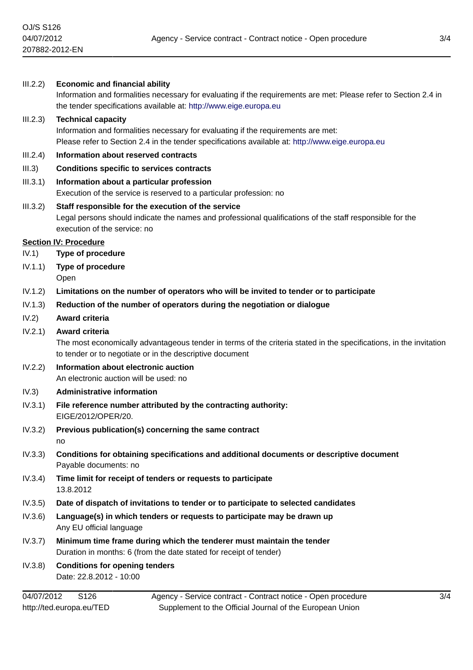| III.2.2) | <b>Economic and financial ability</b><br>Information and formalities necessary for evaluating if the requirements are met: Please refer to Section 2.4 in<br>the tender specifications available at: http://www.eige.europa.eu |
|----------|--------------------------------------------------------------------------------------------------------------------------------------------------------------------------------------------------------------------------------|
| III.2.3) | <b>Technical capacity</b><br>Information and formalities necessary for evaluating if the requirements are met:<br>Please refer to Section 2.4 in the tender specifications available at: http://www.eige.europa.eu             |
| III.2.4) | Information about reserved contracts                                                                                                                                                                                           |
| III.3)   | <b>Conditions specific to services contracts</b>                                                                                                                                                                               |
| III.3.1) | Information about a particular profession<br>Execution of the service is reserved to a particular profession: no                                                                                                               |
| III.3.2) | Staff responsible for the execution of the service<br>Legal persons should indicate the names and professional qualifications of the staff responsible for the<br>execution of the service: no                                 |
|          | <b>Section IV: Procedure</b>                                                                                                                                                                                                   |
| IV.1)    | <b>Type of procedure</b>                                                                                                                                                                                                       |
| IV.1.1)  | Type of procedure<br>Open                                                                                                                                                                                                      |
| IV.1.2)  | Limitations on the number of operators who will be invited to tender or to participate                                                                                                                                         |
| IV.1.3)  | Reduction of the number of operators during the negotiation or dialogue                                                                                                                                                        |
| IV.2)    | Award criteria                                                                                                                                                                                                                 |
| IV.2.1)  | Award criteria<br>The most economically advantageous tender in terms of the criteria stated in the specifications, in the invitation<br>to tender or to negotiate or in the descriptive document                               |
| IV.2.2)  | Information about electronic auction<br>An electronic auction will be used: no                                                                                                                                                 |
| IV.3)    | <b>Administrative information</b>                                                                                                                                                                                              |
| IV.3.1)  | File reference number attributed by the contracting authority:<br>EIGE/2012/OPER/20.                                                                                                                                           |
|          | IV.3.2) Previous publication(s) concerning the same contract<br>no                                                                                                                                                             |
| IV.3.3)  | Conditions for obtaining specifications and additional documents or descriptive document<br>Payable documents: no                                                                                                              |
| IV.3.4)  | Time limit for receipt of tenders or requests to participate<br>13.8.2012                                                                                                                                                      |
| IV.3.5)  | Date of dispatch of invitations to tender or to participate to selected candidates                                                                                                                                             |
| IV.3.6)  | Language(s) in which tenders or requests to participate may be drawn up<br>Any EU official language                                                                                                                            |
| IV.3.7)  | Minimum time frame during which the tenderer must maintain the tender                                                                                                                                                          |
|          | Duration in months: 6 (from the date stated for receipt of tender)                                                                                                                                                             |
| IV.3.8)  | <b>Conditions for opening tenders</b>                                                                                                                                                                                          |

Date: 22.8.2012 - 10:00